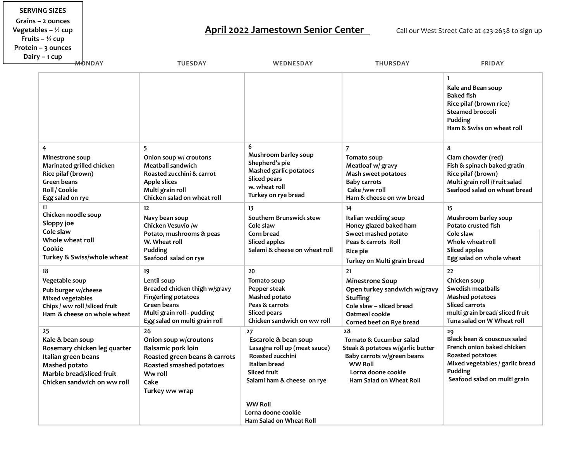**SERVING SIZES**

**Grains – 2 ounces Vegetables – ½ cup**

**Fruits – ½ cup**

**Protein – 3 ounces Dairy – 1 cup**

## **April 2022 Jamestown Senior Center** Call our West Street Cafe at 423-2658 to sign up

| <del>-M</del> ONDAY                                                                                                                                        | <b>TUESDAY</b>                                                                                                                                                        | WEDNESDAY                                                                                                                                            | <b>THURSDAY</b>                                                                                                                                                    | <b>FRIDAY</b>                                                                                                                                                     |
|------------------------------------------------------------------------------------------------------------------------------------------------------------|-----------------------------------------------------------------------------------------------------------------------------------------------------------------------|------------------------------------------------------------------------------------------------------------------------------------------------------|--------------------------------------------------------------------------------------------------------------------------------------------------------------------|-------------------------------------------------------------------------------------------------------------------------------------------------------------------|
|                                                                                                                                                            |                                                                                                                                                                       |                                                                                                                                                      |                                                                                                                                                                    | 1<br>Kale and Bean soup<br><b>Baked fish</b><br>Rice pilaf (brown rice)<br><b>Steamed broccoli</b><br>Pudding<br>Ham & Swiss on wheat roll                        |
| $\overline{4}$<br>Minestrone soup<br>Marinated grilled chicken<br>Rice pilaf (brown)<br>Green beans<br>Roll / Cookie<br>Egg salad on rye                   | 5<br>Onion soup w/ croutons<br><b>Meatball sandwich</b><br>Roasted zucchini & carrot<br><b>Apple slices</b><br>Multi grain roll<br>Chicken salad on wheat roll        | 6<br>Mushroom barley soup<br>Shepherd's pie<br><b>Mashed garlic potatoes</b><br><b>Sliced pears</b><br>w. wheat roll<br>Turkey on rye bread          | $\overline{7}$<br>Tomato soup<br>Meatloaf w/ gravy<br>Mash sweet potatoes<br><b>Baby carrots</b><br>Cake /ww roll<br>Ham & cheese on ww bread                      | 8<br>Clam chowder (red)<br>Fish & spinach baked gratin<br>Rice pilaf (brown)<br>Multi grain roll /Fruit salad<br>Seafood salad on wheat bread                     |
| 11<br>Chicken noodle soup<br>Sloppy joe<br>Cole slaw<br>Whole wheat roll<br>Cookie<br>Turkey & Swiss/whole wheat                                           | 12<br>Navy bean soup<br>Chicken Vesuvio /w<br>Potato, mushrooms & peas<br>W. Wheat roll<br>Pudding<br>Seafood salad on rye                                            | 13<br>Southern Brunswick stew<br>Cole slaw<br>Corn bread<br>Sliced apples<br>Salami & cheese on wheat roll                                           | 14<br>Italian wedding soup<br>Honey glazed baked ham<br>Sweet mashed potato<br>Peas & carrots Roll<br><b>Rice pie</b><br>Turkey on Multi grain bread               | 15<br>Mushroom barley soup<br>Potato crusted fish<br>Cole slaw<br>Whole wheat roll<br>Sliced apples<br>Egg salad on whole wheat                                   |
| 18<br>Vegetable soup<br>Pub burger w/cheese<br><b>Mixed vegetables</b><br>Chips / ww roll /sliced fruit<br>Ham & cheese on whole wheat                     | 19<br>Lentil soup<br>Breaded chicken thigh w/gravy<br><b>Fingerling potatoes</b><br><b>Green beans</b><br>Multi grain roll - pudding<br>Egg salad on multi grain roll | 20<br>Tomato soup<br>Pepper steak<br>Mashed potato<br>Peas & carrots<br><b>Sliced pears</b><br>Chicken sandwich on ww roll                           | 21<br><b>Minestrone Soup</b><br>Open turkey sandwich w/gravy<br><b>Stuffing</b><br>Cole slaw - sliced bread<br>Oatmeal cookie<br>Corned beef on Rye bread          | 22<br>Chicken soup<br>Swedish meatballs<br><b>Mashed potatoes</b><br><b>Sliced carrots</b><br>multi grain bread/ sliced fruit<br>Tuna salad on W Wheat roll       |
| 25<br>Kale & bean soup<br>Rosemary chicken leg quarter<br>Italian green beans<br>Mashed potato<br>Marble bread/sliced fruit<br>Chicken sandwich on ww roll | 26<br>Onion soup w/croutons<br><b>Balsamic pork loin</b><br>Roasted green beans & carrots<br>Roasted smashed potatoes<br>Ww roll<br>Cake<br>Turkey ww wrap            | 27<br>Escarole & bean soup<br>Lasagna roll up (meat sauce)<br>Roasted zucchini<br>Italian bread<br><b>Sliced fruit</b><br>Salami ham & cheese on rye | 28<br>Tomato & Cucumber salad<br>Steak & potatoes w/garlic butter<br>Baby carrots w/green beans<br><b>WW Roll</b><br>Lorna doone cookie<br>Ham Salad on Wheat Roll | 29<br>Black bean & couscous salad<br>French onion baked chicken<br>Roasted potatoes<br>Mixed vegetables / garlic bread<br>Pudding<br>Seafood salad on multi grain |
|                                                                                                                                                            |                                                                                                                                                                       | <b>WW Roll</b><br>Lorna doone cookie<br>Ham Salad on Wheat Roll                                                                                      |                                                                                                                                                                    |                                                                                                                                                                   |